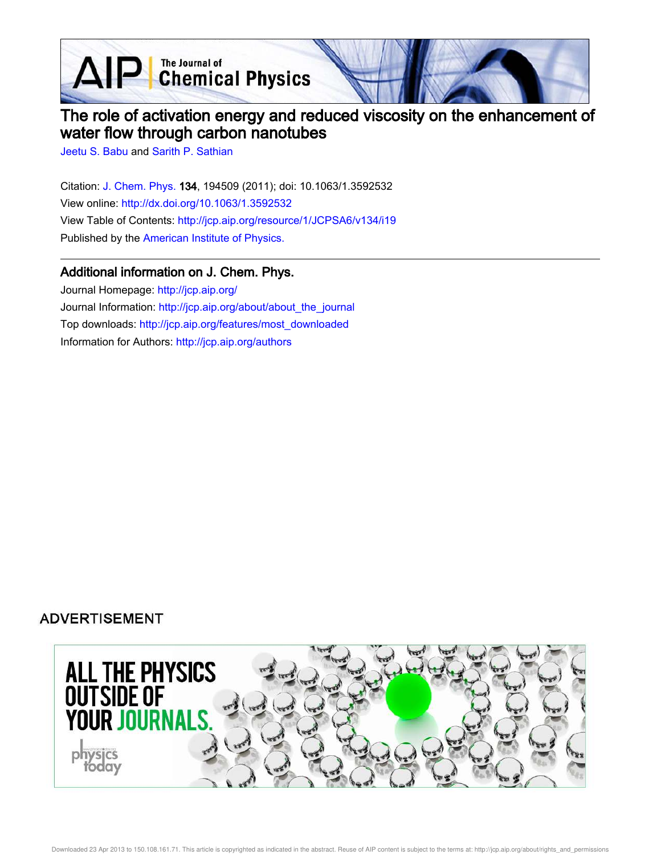**D** The Journal of<br> **Chemical Physics** 

# The role of activation energy and reduced viscosity on the enhancement of water flow through carbon nanotubes

Jeetu S. Babu and Sarith P. Sathian

 $\Delta$ 

Citation: J. Chem. Phys. 134, 194509 (2011); doi: 10.1063/1.3592532 View online: http://dx.doi.org/10.1063/1.3592532 View Table of Contents: http://jcp.aip.org/resource/1/JCPSA6/v134/i19 Published by the American Institute of Physics.

### Additional information on J. Chem. Phys.

Journal Homepage: http://jcp.aip.org/ Journal Information: http://jcp.aip.org/about/about\_the\_journal Top downloads: http://jcp.aip.org/features/most\_downloaded Information for Authors: http://jcp.aip.org/authors

## **ADVERTISEMENT**

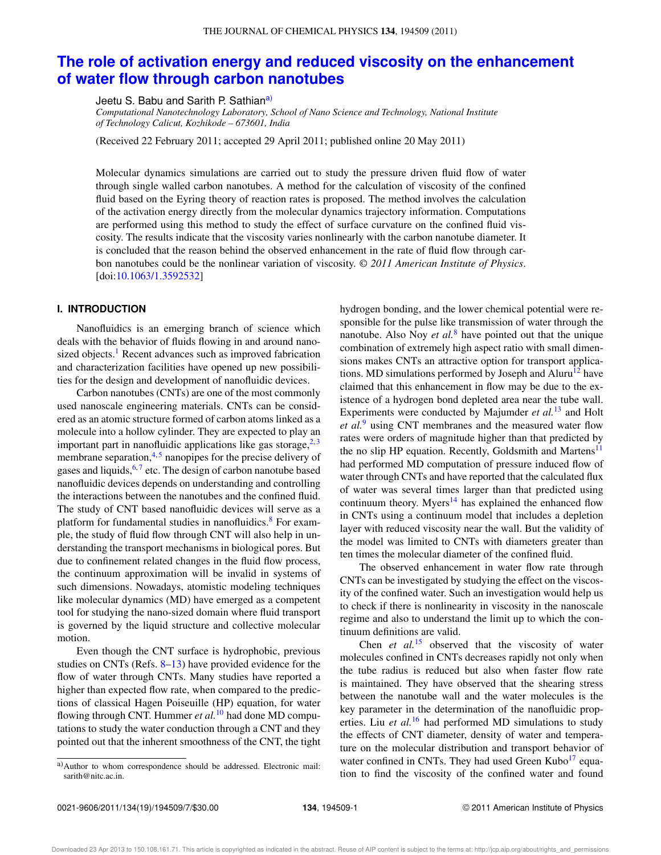### **The role of activation energy and reduced viscosity on the enhancement of water flow through carbon nanotubes**

Jeetu S. Babu and Sarith P. Sathiana)

*Computational Nanotechnology Laboratory, School of Nano Science and Technology, National Institute of Technology Calicut, Kozhikode – 673601, India*

(Received 22 February 2011; accepted 29 April 2011; published online 20 May 2011)

Molecular dynamics simulations are carried out to study the pressure driven fluid flow of water through single walled carbon nanotubes. A method for the calculation of viscosity of the confined fluid based on the Eyring theory of reaction rates is proposed. The method involves the calculation of the activation energy directly from the molecular dynamics trajectory information. Computations are performed using this method to study the effect of surface curvature on the confined fluid viscosity. The results indicate that the viscosity varies nonlinearly with the carbon nanotube diameter. It is concluded that the reason behind the observed enhancement in the rate of fluid flow through carbon nanotubes could be the nonlinear variation of viscosity. *© 2011 American Institute of Physics*. [doi:10.1063/1.3592532]

### **I. INTRODUCTION**

Nanofluidics is an emerging branch of science which deals with the behavior of fluids flowing in and around nanosized objects.<sup>1</sup> Recent advances such as improved fabrication and characterization facilities have opened up new possibilities for the design and development of nanofluidic devices.

Carbon nanotubes (CNTs) are one of the most commonly used nanoscale engineering materials. CNTs can be considered as an atomic structure formed of carbon atoms linked as a molecule into a hollow cylinder. They are expected to play an important part in nanofluidic applications like gas storage, $2,3$ membrane separation, $4.5$  nanopipes for the precise delivery of gases and liquids, <sup>6,7</sup> etc. The design of carbon nanotube based nanofluidic devices depends on understanding and controlling the interactions between the nanotubes and the confined fluid. The study of CNT based nanofluidic devices will serve as a platform for fundamental studies in nanofluidics.<sup>8</sup> For example, the study of fluid flow through CNT will also help in understanding the transport mechanisms in biological pores. But due to confinement related changes in the fluid flow process, the continuum approximation will be invalid in systems of such dimensions. Nowadays, atomistic modeling techniques like molecular dynamics (MD) have emerged as a competent tool for studying the nano-sized domain where fluid transport is governed by the liquid structure and collective molecular motion.

Even though the CNT surface is hydrophobic, previous studies on CNTs (Refs. 8–13) have provided evidence for the flow of water through CNTs. Many studies have reported a higher than expected flow rate, when compared to the predictions of classical Hagen Poiseuille (HP) equation, for water flowing through CNT. Hummer *et al.*<sup>10</sup> had done MD computations to study the water conduction through a CNT and they pointed out that the inherent smoothness of the CNT, the tight hydrogen bonding, and the lower chemical potential were responsible for the pulse like transmission of water through the nanotube. Also Noy *et al.*<sup>8</sup> have pointed out that the unique combination of extremely high aspect ratio with small dimensions makes CNTs an attractive option for transport applications. MD simulations performed by Joseph and Aluru<sup>12</sup> have claimed that this enhancement in flow may be due to the existence of a hydrogen bond depleted area near the tube wall. Experiments were conducted by Majumder *et al.*<sup>13</sup> and Holt *et al.*<sup>9</sup> using CNT membranes and the measured water flow rates were orders of magnitude higher than that predicted by the no slip HP equation. Recently, Goldsmith and Martens<sup>11</sup> had performed MD computation of pressure induced flow of water through CNTs and have reported that the calculated flux of water was several times larger than that predicted using continuum theory. Myers<sup>14</sup> has explained the enhanced flow in CNTs using a continuum model that includes a depletion layer with reduced viscosity near the wall. But the validity of the model was limited to CNTs with diameters greater than ten times the molecular diameter of the confined fluid.

The observed enhancement in water flow rate through CNTs can be investigated by studying the effect on the viscosity of the confined water. Such an investigation would help us to check if there is nonlinearity in viscosity in the nanoscale regime and also to understand the limit up to which the continuum definitions are valid.

Chen *et al.*<sup>15</sup> observed that the viscosity of water molecules confined in CNTs decreases rapidly not only when the tube radius is reduced but also when faster flow rate is maintained. They have observed that the shearing stress between the nanotube wall and the water molecules is the key parameter in the determination of the nanofluidic properties. Liu *et al.*<sup>16</sup> had performed MD simulations to study the effects of CNT diameter, density of water and temperature on the molecular distribution and transport behavior of water confined in CNTs. They had used Green Kubo<sup>17</sup> equation to find the viscosity of the confined water and found

a) Author to whom correspondence should be addressed. Electronic mail: sarith@nitc.ac.in.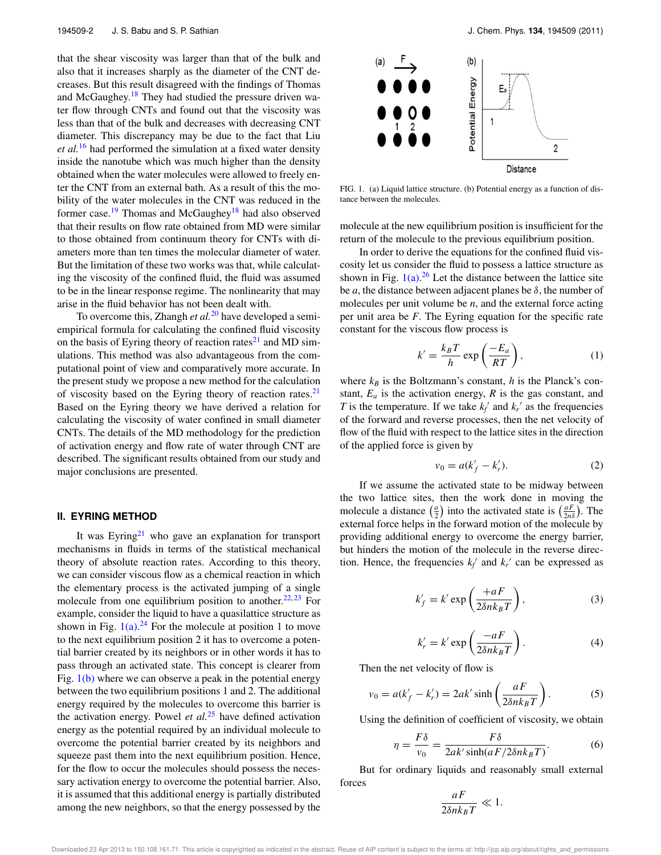that the shear viscosity was larger than that of the bulk and also that it increases sharply as the diameter of the CNT decreases. But this result disagreed with the findings of Thomas and McGaughey.<sup>18</sup> They had studied the pressure driven water flow through CNTs and found out that the viscosity was less than that of the bulk and decreases with decreasing CNT diameter. This discrepancy may be due to the fact that Liu *et al.*<sup>16</sup> had performed the simulation at a fixed water density inside the nanotube which was much higher than the density obtained when the water molecules were allowed to freely enter the CNT from an external bath. As a result of this the mobility of the water molecules in the CNT was reduced in the former case.<sup>19</sup> Thomas and McGaughey<sup>18</sup> had also observed that their results on flow rate obtained from MD were similar to those obtained from continuum theory for CNTs with diameters more than ten times the molecular diameter of water. But the limitation of these two works was that, while calculating the viscosity of the confined fluid, the fluid was assumed to be in the linear response regime. The nonlinearity that may arise in the fluid behavior has not been dealt with.

To overcome this, Zhangh *et al.*<sup>20</sup> have developed a semiempirical formula for calculating the confined fluid viscosity on the basis of Eyring theory of reaction rates<sup>21</sup> and MD simulations. This method was also advantageous from the computational point of view and comparatively more accurate. In the present study we propose a new method for the calculation of viscosity based on the Eyring theory of reaction rates.<sup>21</sup> Based on the Eyring theory we have derived a relation for calculating the viscosity of water confined in small diameter CNTs. The details of the MD methodology for the prediction of activation energy and flow rate of water through CNT are described. The significant results obtained from our study and major conclusions are presented.

### **II. EYRING METHOD**

It was Eyring $21$  who gave an explanation for transport mechanisms in fluids in terms of the statistical mechanical theory of absolute reaction rates. According to this theory, we can consider viscous flow as a chemical reaction in which the elementary process is the activated jumping of a single molecule from one equilibrium position to another.<sup>22,23</sup> For example, consider the liquid to have a quasilattice structure as shown in Fig.  $1(a)$ .<sup>24</sup> For the molecule at position 1 to move to the next equilibrium position 2 it has to overcome a potential barrier created by its neighbors or in other words it has to pass through an activated state. This concept is clearer from Fig. 1(b) where we can observe a peak in the potential energy between the two equilibrium positions 1 and 2. The additional energy required by the molecules to overcome this barrier is the activation energy. Powel *et al.*<sup>25</sup> have defined activation energy as the potential required by an individual molecule to overcome the potential barrier created by its neighbors and squeeze past them into the next equilibrium position. Hence, for the flow to occur the molecules should possess the necessary activation energy to overcome the potential barrier. Also, it is assumed that this additional energy is partially distributed among the new neighbors, so that the energy possessed by the



FIG. 1. (a) Liquid lattice structure. (b) Potential energy as a function of distance between the molecules.

molecule at the new equilibrium position is insufficient for the return of the molecule to the previous equilibrium position.

In order to derive the equations for the confined fluid viscosity let us consider the fluid to possess a lattice structure as shown in Fig.  $1(a)$ . <sup>26</sup> Let the distance between the lattice site be  $a$ , the distance between adjacent planes be  $\delta$ , the number of molecules per unit volume be *n*, and the external force acting per unit area be *F*. The Eyring equation for the specific rate constant for the viscous flow process is

$$
k' = \frac{k_B T}{h} \exp\left(\frac{-E_a}{RT}\right),\tag{1}
$$

where  $k_B$  is the Boltzmann's constant,  $h$  is the Planck's constant,  $E_a$  is the activation energy,  $R$  is the gas constant, and *T* is the temperature. If we take  $k_f$  and  $k_r$  as the frequencies of the forward and reverse processes, then the net velocity of flow of the fluid with respect to the lattice sites in the direction of the applied force is given by

$$
v_0 = a(k'_f - k'_r).
$$
 (2)

If we assume the activated state to be midway between the two lattice sites, then the work done in moving the molecule a distance  $\left(\frac{a}{2}\right)$  into the activated state is  $\left(\frac{aF}{2n\delta}\right)$ . The external force helps in the forward motion of the molecule by providing additional energy to overcome the energy barrier, but hinders the motion of the molecule in the reverse direction. Hence, the frequencies  $k_f'$  and  $k_r'$  can be expressed as

$$
k'_{f} = k' \exp\left(\frac{+aF}{2\delta n k_{B}T}\right),
$$
 (3)

$$
k'_{r} = k' \exp\left(\frac{-aF}{2\delta n k_{B}T}\right). \tag{4}
$$

Then the net velocity of flow is

$$
v_0 = a(k'_f - k'_r) = 2ak' \sinh\left(\frac{aF}{2\delta nk_BT}\right).
$$
 (5)

Using the definition of coefficient of viscosity, we obtain

$$
\eta = \frac{F\delta}{v_0} = \frac{F\delta}{2ak' \sinh(aF/2\delta n k_B T)}.\tag{6}
$$

But for ordinary liquids and reasonably small external forces

$$
\frac{aF}{2\delta nk_BT} \ll 1.
$$

Downloaded 23 Apr 2013 to 150.108.161.71. This article is copyrighted as indicated in the abstract. Reuse of AIP content is subject to the terms at: http://jcp.aip.org/about/rights\_and\_permissions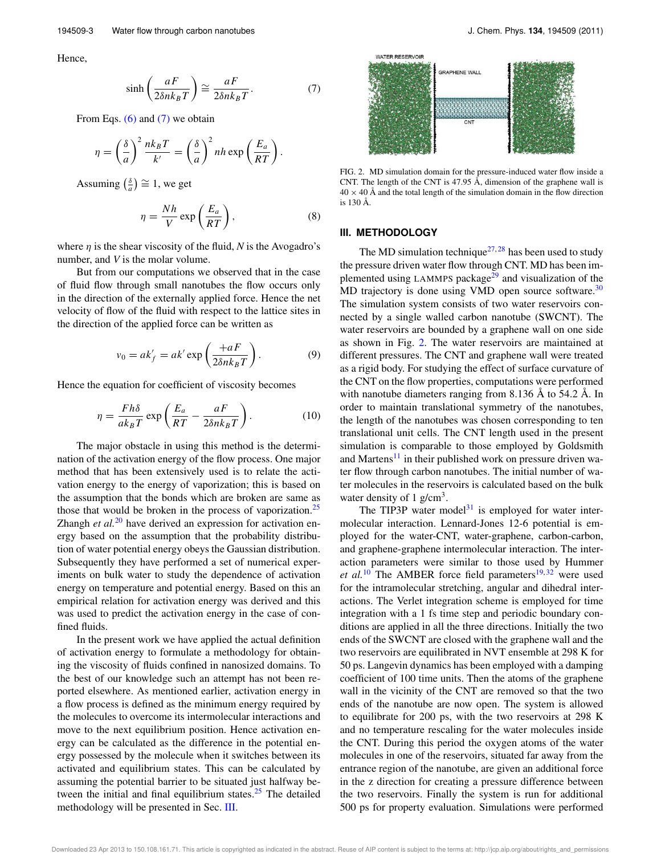Hence,

$$
\sinh\left(\frac{aF}{2\delta nk_BT}\right) \cong \frac{aF}{2\delta nk_BT}.\tag{7}
$$

From Eqs. (6) and (7) we obtain

$$
\eta = \left(\frac{\delta}{a}\right)^2 \frac{nk_B T}{k'} = \left(\frac{\delta}{a}\right)^2 n h \exp\left(\frac{E_a}{RT}\right).
$$

Assuming  $\left(\frac{\delta}{a}\right) \cong 1$ , we get

$$
\eta = \frac{Nh}{V} \exp\left(\frac{E_a}{RT}\right),\tag{8}
$$

where  $\eta$  is the shear viscosity of the fluid, *N* is the Avogadro's number, and *V* is the molar volume.

But from our computations we observed that in the case of fluid flow through small nanotubes the flow occurs only in the direction of the externally applied force. Hence the net velocity of flow of the fluid with respect to the lattice sites in the direction of the applied force can be written as

$$
v_0 = ak'_f = ak' \exp\left(\frac{+aF}{2\delta nk_BT}\right). \tag{9}
$$

Hence the equation for coefficient of viscosity becomes

$$
\eta = \frac{Fh\delta}{ak_BT} \exp\left(\frac{E_a}{RT} - \frac{aF}{2\delta nk_BT}\right). \tag{10}
$$

The major obstacle in using this method is the determination of the activation energy of the flow process. One major method that has been extensively used is to relate the activation energy to the energy of vaporization; this is based on the assumption that the bonds which are broken are same as those that would be broken in the process of vaporization.<sup>25</sup> Zhangh *et al.*<sup>20</sup> have derived an expression for activation energy based on the assumption that the probability distribution of water potential energy obeys the Gaussian distribution. Subsequently they have performed a set of numerical experiments on bulk water to study the dependence of activation energy on temperature and potential energy. Based on this an empirical relation for activation energy was derived and this was used to predict the activation energy in the case of confined fluids.

In the present work we have applied the actual definition of activation energy to formulate a methodology for obtaining the viscosity of fluids confined in nanosized domains. To the best of our knowledge such an attempt has not been reported elsewhere. As mentioned earlier, activation energy in a flow process is defined as the minimum energy required by the molecules to overcome its intermolecular interactions and move to the next equilibrium position. Hence activation energy can be calculated as the difference in the potential energy possessed by the molecule when it switches between its activated and equilibrium states. This can be calculated by assuming the potential barrier to be situated just halfway between the initial and final equilibrium states.<sup>25</sup> The detailed methodology will be presented in Sec. III.



FIG. 2. MD simulation domain for the pressure-induced water flow inside a CNT. The length of the CNT is 47.95 Å, dimension of the graphene wall is  $40 \times 40$  Å and the total length of the simulation domain in the flow direction is 130 Å.

#### **III. METHODOLOGY**

The MD simulation technique<sup>27, 28</sup> has been used to study the pressure driven water flow through CNT. MD has been implemented using LAMMPS package $2^9$  and visualization of the MD trajectory is done using VMD open source software.<sup>30</sup> The simulation system consists of two water reservoirs connected by a single walled carbon nanotube (SWCNT). The water reservoirs are bounded by a graphene wall on one side as shown in Fig. 2. The water reservoirs are maintained at different pressures. The CNT and graphene wall were treated as a rigid body. For studying the effect of surface curvature of the CNT on the flow properties, computations were performed with nanotube diameters ranging from 8.136 Å to 54.2 Å. In order to maintain translational symmetry of the nanotubes, the length of the nanotubes was chosen corresponding to ten translational unit cells. The CNT length used in the present simulation is comparable to those employed by Goldsmith and Martens<sup>11</sup> in their published work on pressure driven water flow through carbon nanotubes. The initial number of water molecules in the reservoirs is calculated based on the bulk water density of 1  $g/cm<sup>3</sup>$ .

The TIP3P water model $31$  is employed for water intermolecular interaction. Lennard-Jones 12-6 potential is employed for the water-CNT, water-graphene, carbon-carbon, and graphene-graphene intermolecular interaction. The interaction parameters were similar to those used by Hummer *et al.*<sup>10</sup> The AMBER force field parameters<sup>19,32</sup> were used for the intramolecular stretching, angular and dihedral interactions. The Verlet integration scheme is employed for time integration with a 1 fs time step and periodic boundary conditions are applied in all the three directions. Initially the two ends of the SWCNT are closed with the graphene wall and the two reservoirs are equilibrated in NVT ensemble at 298 K for 50 ps. Langevin dynamics has been employed with a damping coefficient of 100 time units. Then the atoms of the graphene wall in the vicinity of the CNT are removed so that the two ends of the nanotube are now open. The system is allowed to equilibrate for 200 ps, with the two reservoirs at 298 K and no temperature rescaling for the water molecules inside the CNT. During this period the oxygen atoms of the water molecules in one of the reservoirs, situated far away from the entrance region of the nanotube, are given an additional force in the z direction for creating a pressure difference between the two reservoirs. Finally the system is run for additional 500 ps for property evaluation. Simulations were performed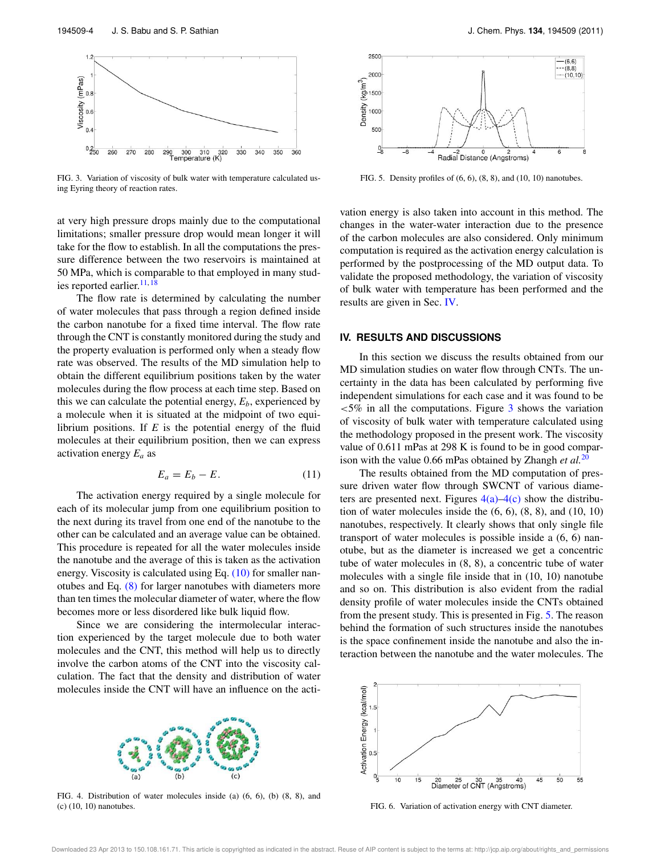

FIG. 3. Variation of viscosity of bulk water with temperature calculated using Eyring theory of reaction rates.

at very high pressure drops mainly due to the computational limitations; smaller pressure drop would mean longer it will take for the flow to establish. In all the computations the pressure difference between the two reservoirs is maintained at 50 MPa, which is comparable to that employed in many studies reported earlier. $11, 18$ 

The flow rate is determined by calculating the number of water molecules that pass through a region defined inside the carbon nanotube for a fixed time interval. The flow rate through the CNT is constantly monitored during the study and the property evaluation is performed only when a steady flow rate was observed. The results of the MD simulation help to obtain the different equilibrium positions taken by the water molecules during the flow process at each time step. Based on this we can calculate the potential energy,  $E_b$ , experienced by a molecule when it is situated at the midpoint of two equilibrium positions. If *E* is the potential energy of the fluid molecules at their equilibrium position, then we can express activation energy *E<sup>a</sup>* as

$$
E_a = E_b - E. \tag{11}
$$

The activation energy required by a single molecule for each of its molecular jump from one equilibrium position to the next during its travel from one end of the nanotube to the other can be calculated and an average value can be obtained. This procedure is repeated for all the water molecules inside the nanotube and the average of this is taken as the activation energy. Viscosity is calculated using Eq. (10) for smaller nanotubes and Eq.  $(8)$  for larger nanotubes with diameters more than ten times the molecular diameter of water, where the flow becomes more or less disordered like bulk liquid flow.

Since we are considering the intermolecular interaction experienced by the target molecule due to both water molecules and the CNT, this method will help us to directly involve the carbon atoms of the CNT into the viscosity calculation. The fact that the density and distribution of water molecules inside the CNT will have an influence on the acti-



FIG. 4. Distribution of water molecules inside (a) (6, 6), (b) (8, 8), and (c) (10, 10) nanotubes.



FIG. 5. Density profiles of (6, 6), (8, 8), and (10, 10) nanotubes.

vation energy is also taken into account in this method. The changes in the water-water interaction due to the presence of the carbon molecules are also considered. Only minimum computation is required as the activation energy calculation is performed by the postprocessing of the MD output data. To validate the proposed methodology, the variation of viscosity of bulk water with temperature has been performed and the results are given in Sec. IV.

#### **IV. RESULTS AND DISCUSSIONS**

In this section we discuss the results obtained from our MD simulation studies on water flow through CNTs. The uncertainty in the data has been calculated by performing five independent simulations for each case and it was found to be  $<5\%$  in all the computations. Figure 3 shows the variation of viscosity of bulk water with temperature calculated using the methodology proposed in the present work. The viscosity value of 0.611 mPas at 298 K is found to be in good comparison with the value 0.66 mPas obtained by Zhangh *et al.*<sup>20</sup>

The results obtained from the MD computation of pressure driven water flow through SWCNT of various diameters are presented next. Figures  $4(a)$ – $4(c)$  show the distribution of water molecules inside the  $(6, 6)$ ,  $(8, 8)$ , and  $(10, 10)$ nanotubes, respectively. It clearly shows that only single file transport of water molecules is possible inside a (6, 6) nanotube, but as the diameter is increased we get a concentric tube of water molecules in (8, 8), a concentric tube of water molecules with a single file inside that in (10, 10) nanotube and so on. This distribution is also evident from the radial density profile of water molecules inside the CNTs obtained from the present study. This is presented in Fig. 5. The reason behind the formation of such structures inside the nanotubes is the space confinement inside the nanotube and also the interaction between the nanotube and the water molecules. The



FIG. 6. Variation of activation energy with CNT diameter.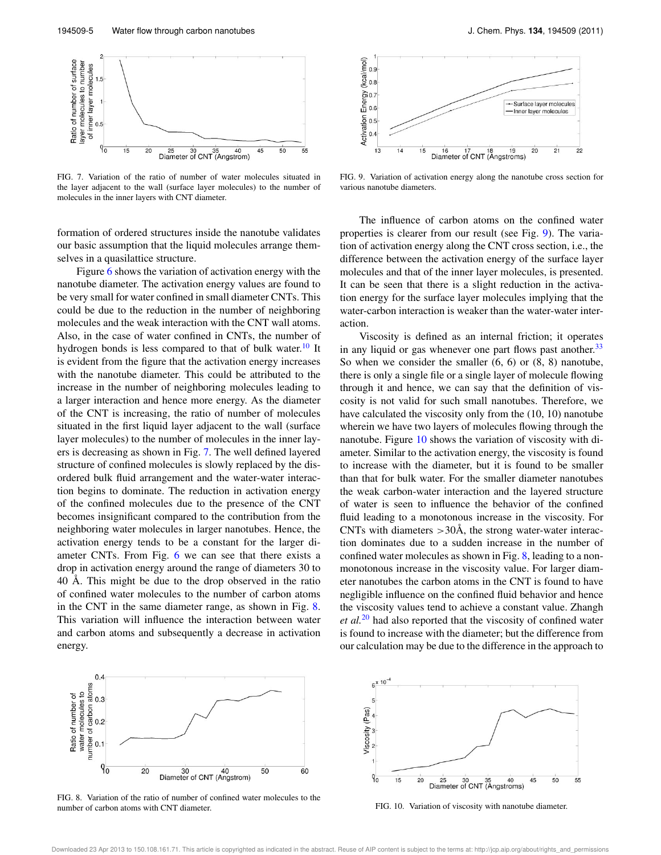194509-5 Water flow through carbon nanotubes J. Chem. Phys. **134**, 194509 (2011)



FIG. 7. Variation of the ratio of number of water molecules situated in the layer adjacent to the wall (surface layer molecules) to the number of molecules in the inner layers with CNT diameter.

formation of ordered structures inside the nanotube validates our basic assumption that the liquid molecules arrange themselves in a quasilattice structure.

Figure 6 shows the variation of activation energy with the nanotube diameter. The activation energy values are found to be very small for water confined in small diameter CNTs. This could be due to the reduction in the number of neighboring molecules and the weak interaction with the CNT wall atoms. Also, in the case of water confined in CNTs, the number of hydrogen bonds is less compared to that of bulk water.<sup>10</sup> It is evident from the figure that the activation energy increases with the nanotube diameter. This could be attributed to the increase in the number of neighboring molecules leading to a larger interaction and hence more energy. As the diameter of the CNT is increasing, the ratio of number of molecules situated in the first liquid layer adjacent to the wall (surface layer molecules) to the number of molecules in the inner layers is decreasing as shown in Fig. 7. The well defined layered structure of confined molecules is slowly replaced by the disordered bulk fluid arrangement and the water-water interaction begins to dominate. The reduction in activation energy of the confined molecules due to the presence of the CNT becomes insignificant compared to the contribution from the neighboring water molecules in larger nanotubes. Hence, the activation energy tends to be a constant for the larger diameter CNTs. From Fig. 6 we can see that there exists a drop in activation energy around the range of diameters 30 to 40 Å. This might be due to the drop observed in the ratio of confined water molecules to the number of carbon atoms in the CNT in the same diameter range, as shown in Fig. 8. This variation will influence the interaction between water and carbon atoms and subsequently a decrease in activation energy.



FIG. 9. Variation of activation energy along the nanotube cross section for various nanotube diameters.

The influence of carbon atoms on the confined water properties is clearer from our result (see Fig. 9). The variation of activation energy along the CNT cross section, i.e., the difference between the activation energy of the surface layer molecules and that of the inner layer molecules, is presented. It can be seen that there is a slight reduction in the activation energy for the surface layer molecules implying that the water-carbon interaction is weaker than the water-water interaction.

Viscosity is defined as an internal friction; it operates in any liquid or gas whenever one part flows past another. $33$ So when we consider the smaller  $(6, 6)$  or  $(8, 8)$  nanotube, there is only a single file or a single layer of molecule flowing through it and hence, we can say that the definition of viscosity is not valid for such small nanotubes. Therefore, we have calculated the viscosity only from the (10, 10) nanotube wherein we have two layers of molecules flowing through the nanotube. Figure 10 shows the variation of viscosity with diameter. Similar to the activation energy, the viscosity is found to increase with the diameter, but it is found to be smaller than that for bulk water. For the smaller diameter nanotubes the weak carbon-water interaction and the layered structure of water is seen to influence the behavior of the confined fluid leading to a monotonous increase in the viscosity. For CNTs with diameters  $>30$ Å, the strong water-water interaction dominates due to a sudden increase in the number of confined water molecules as shown in Fig. 8, leading to a nonmonotonous increase in the viscosity value. For larger diameter nanotubes the carbon atoms in the CNT is found to have negligible influence on the confined fluid behavior and hence the viscosity values tend to achieve a constant value. Zhangh *et al.*<sup>20</sup> had also reported that the viscosity of confined water is found to increase with the diameter; but the difference from our calculation may be due to the difference in the approach to



FIG. 8. Variation of the ratio of number of confined water molecules to the number of carbon atoms with CNT diameter.



FIG. 10. Variation of viscosity with nanotube diameter.

Downloaded 23 Apr 2013 to 150.108.161.71. This article is copyrighted as indicated in the abstract. Reuse of AIP content is subject to the terms at: http://jcp.aip.org/about/rights\_and\_permissions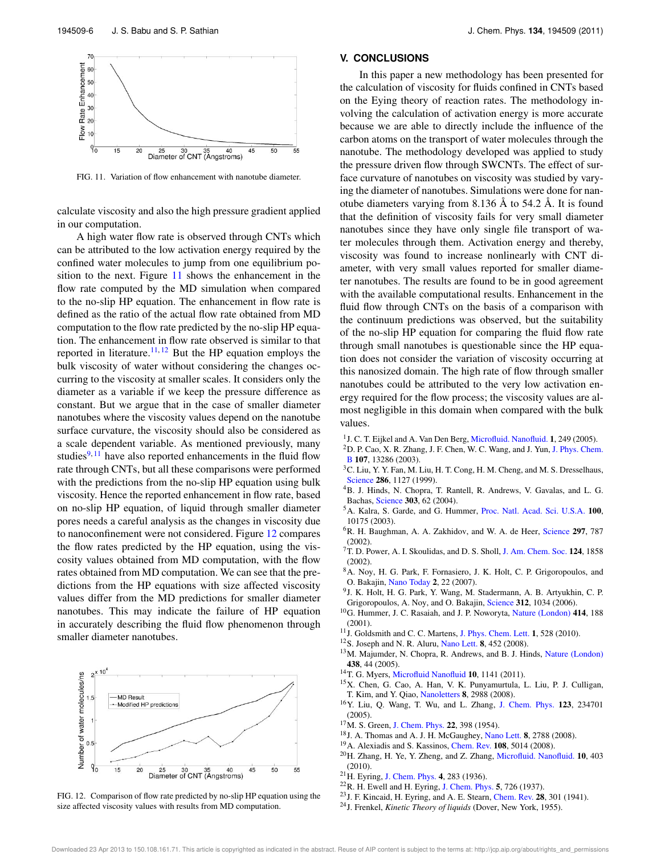

FIG. 11. Variation of flow enhancement with nanotube diameter.

calculate viscosity and also the high pressure gradient applied in our computation.

A high water flow rate is observed through CNTs which can be attributed to the low activation energy required by the confined water molecules to jump from one equilibrium position to the next. Figure 11 shows the enhancement in the flow rate computed by the MD simulation when compared to the no-slip HP equation. The enhancement in flow rate is defined as the ratio of the actual flow rate obtained from MD computation to the flow rate predicted by the no-slip HP equation. The enhancement in flow rate observed is similar to that reported in literature.<sup>11, 12</sup> But the HP equation employs the bulk viscosity of water without considering the changes occurring to the viscosity at smaller scales. It considers only the diameter as a variable if we keep the pressure difference as constant. But we argue that in the case of smaller diameter nanotubes where the viscosity values depend on the nanotube surface curvature, the viscosity should also be considered as a scale dependent variable. As mentioned previously, many studies<sup>9,11</sup> have also reported enhancements in the fluid flow rate through CNTs, but all these comparisons were performed with the predictions from the no-slip HP equation using bulk viscosity. Hence the reported enhancement in flow rate, based on no-slip HP equation, of liquid through smaller diameter pores needs a careful analysis as the changes in viscosity due to nanoconfinement were not considered. Figure 12 compares the flow rates predicted by the HP equation, using the viscosity values obtained from MD computation, with the flow rates obtained from MD computation. We can see that the predictions from the HP equations with size affected viscosity values differ from the MD predictions for smaller diameter nanotubes. This may indicate the failure of HP equation in accurately describing the fluid flow phenomenon through smaller diameter nanotubes.



#### **V. CONCLUSIONS**

In this paper a new methodology has been presented for the calculation of viscosity for fluids confined in CNTs based on the Eying theory of reaction rates. The methodology involving the calculation of activation energy is more accurate because we are able to directly include the influence of the carbon atoms on the transport of water molecules through the nanotube. The methodology developed was applied to study the pressure driven flow through SWCNTs. The effect of surface curvature of nanotubes on viscosity was studied by varying the diameter of nanotubes. Simulations were done for nanotube diameters varying from 8.136 Å to 54.2 Å. It is found that the definition of viscosity fails for very small diameter nanotubes since they have only single file transport of water molecules through them. Activation energy and thereby, viscosity was found to increase nonlinearly with CNT diameter, with very small values reported for smaller diameter nanotubes. The results are found to be in good agreement with the available computational results. Enhancement in the fluid flow through CNTs on the basis of a comparison with the continuum predictions was observed, but the suitability of the no-slip HP equation for comparing the fluid flow rate through small nanotubes is questionable since the HP equation does not consider the variation of viscosity occurring at this nanosized domain. The high rate of flow through smaller nanotubes could be attributed to the very low activation energy required for the flow process; the viscosity values are almost negligible in this domain when compared with the bulk values.

- <sup>1</sup> J. C. T. Eijkel and A. Van Den Berg, Microfluid. Nanofluid. 1, 249 (2005).
- <sup>2</sup>D. P. Cao, X. R. Zhang, J. F. Chen, W. C. Wang, and J. Yun, J. Phys. Chem. B **107**, 13286 (2003).
- <sup>3</sup>C. Liu, Y. Y. Fan, M. Liu, H. T. Cong, H. M. Cheng, and M. S. Dresselhaus, Science **286**, 1127 (1999).
- <sup>4</sup>B. J. Hinds, N. Chopra, T. Rantell, R. Andrews, V. Gavalas, and L. G. Bachas, Science **303**, 62 (2004).
- <sup>5</sup>A. Kalra, S. Garde, and G. Hummer, Proc. Natl. Acad. Sci. U.S.A. **100**, 10175 (2003).
- <sup>6</sup>R. H. Baughman, A. A. Zakhidov, and W. A. de Heer, Science **297**, 787 (2002).
- <sup>7</sup>T. D. Power, A. I. Skoulidas, and D. S. Sholl, J. Am. Chem. Soc. **124**, 1858 (2002).
- <sup>8</sup>A. Noy, H. G. Park, F. Fornasiero, J. K. Holt, C. P. Grigoropoulos, and O. Bakajin, Nano Today **2**, 22 (2007).
- <sup>9</sup>J. K. Holt, H. G. Park, Y. Wang, M. Stadermann, A. B. Artyukhin, C. P. Grigoropoulos, A. Noy, and O. Bakajin, Science **312**, 1034 (2006).
- <sup>10</sup>G. Hummer, J. C. Rasaiah, and J. P. Noworyta, Nature (London) **414**, 188 (2001).
- <sup>11</sup>J. Goldsmith and C. C. Martens, J. Phys. Chem. Lett. **1**, 528 (2010).
- <sup>12</sup>S. Joseph and N. R. Aluru, Nano Lett. **8**, 452 (2008).
- <sup>13</sup>M. Majumder, N. Chopra, R. Andrews, and B. J. Hinds, Nature (London) **438**, 44 (2005).
- <sup>14</sup>T. G. Myers, Microfluid Nanofluid **10**, 1141 (2011).
- <sup>15</sup>X. Chen, G. Cao, A. Han, V. K. Punyamurtula, L. Liu, P. J. Culligan, T. Kim, and Y. Qiao, Nanoletters **8**, 2988 (2008).
- <sup>16</sup>Y. Liu, Q. Wang, T. Wu, and L. Zhang, J. Chem. Phys. **123**, 234701 (2005).
- <sup>17</sup>M. S. Green, J. Chem. Phys. **22**, 398 (1954).
- <sup>18</sup>J. A. Thomas and A. J. H. McGaughey, Nano Lett. **8**, 2788 (2008).
- <sup>19</sup>A. Alexiadis and S. Kassinos, Chem. Rev. **108**, 5014 (2008).
- <sup>20</sup>H. Zhang, H. Ye, Y. Zheng, and Z. Zhang, Microfluid. Nanofluid. **10**, 403 (2010).
- <sup>21</sup>H. Eyring, J. Chem. Phys. **4**, 283 (1936).
- <sup>22</sup>R. H. Ewell and H. Eyring, J. Chem. Phys. **5**, 726 (1937).
- <sup>23</sup>J. F. Kincaid, H. Eyring, and A. E. Stearn, Chem. Rev. **28**, 301 (1941).
- <sup>24</sup>J. Frenkel, *Kinetic Theory of liquids* (Dover, New York, 1955).